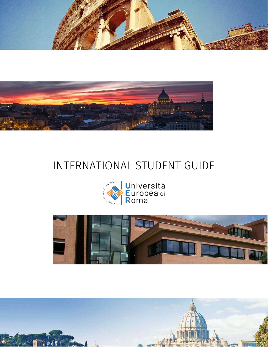



# INTERNATIONAL STUDENT GUIDE





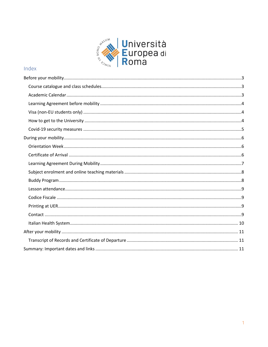

# Index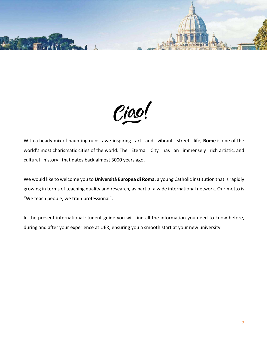

Ciao!

With a heady mix of haunting ruins, awe-inspiring art and vibrant street life, **Rome** is one of the world's most charismatic cities of the world. The Eternal City has an immensely rich artistic, and cultural history that dates back almost 3000 years ago.

We would like to welcome you to **Università Europea di Roma**, a young Catholic institution that is rapidly growing in terms of teaching quality and research, as part of a wide international network. Our motto is "We teach people, we train professional".

In the present international student guide you will find all the information you need to know before, during and after your experience at UER, ensuring you a smooth start at your new university.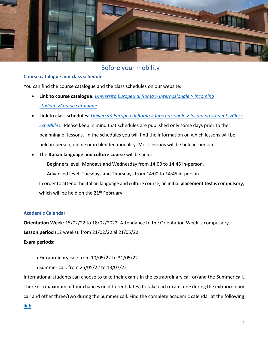

# Before your mobility

# <span id="page-3-1"></span><span id="page-3-0"></span>**Course catalogue and class schedules**

You can find the course catalogue and the class schedules on our website:

- **Link to course catalogue:** *[Università Europea di Roma > Internazionale > Incoming](https://www.universitaeuropeadiroma.it/en/international-exchanges/#tab_accademic-offer-taught-in-english)  [students>Course catalogue](https://www.universitaeuropeadiroma.it/en/international-exchanges/#tab_accademic-offer-taught-in-english)*
- **Link to class schedules:** *[Università Europea di Roma > Internazionale > Incoming students>Class](https://www.universitaeuropeadiroma.it/en/international-exchanges/#tab_class-schedule-2)  [Schedules.](https://www.universitaeuropeadiroma.it/en/international-exchanges/#tab_class-schedule-2)* Please keep in mind that schedules are published only some days prior to the beginning of lessons. In the schedules you will find the information on which lessons will be held in-person, online or in blended modality. Most lessons will be held in-person.
- The **Italian language and culture course** will be held:

Beginners level: Mondays and Wednesday from 14:00 to 14:45 in-person.

Advanced level: Tuesdays and Thursdays from 14:00 to 14:45 in-person.

In order to attend the Italian language and culture course, an initial **placement test** is compulsory, which will be held on the 21<sup>th</sup> February.

# <span id="page-3-2"></span>**Academic Calendar**

**Orientation Week**: 15/02/22 to 18/02/2022. Attendance to the Orientation Week is compulsory. **Lesson period** (12 weeks): from 21/02/22 al 21/05/22.

# **Exam periods:**

- Extraordinary call: from 10/05/22 to 31/05/22
- Summer call: from 25/05/22 to 13/07/22

International students can choose to take their exams in the extraordinary call or/and the Summer call. There is a maximum of four chances (in different dates) to take each exam, one during the extraordinary call and other three/two during the Summer call. Find the complete academic calendar at the following [link.](https://www.universitaeuropeadiroma.it/wp-content/uploads/2021/06/CALENDARIO-ACCADEMICO-2021-2022-1.pdf)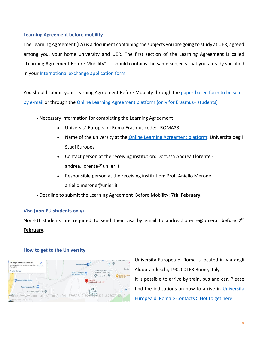# <span id="page-4-0"></span>**Learning Agreement before mobility**

The Learning Agreement (LA) is a document containing the subjects you are going to study at UER, agreed among you, your home university and UER. The first section of the Learning Agreement is called "Learning Agreement Before Mobility". It should contains the same subjects that you already specified in your [International exchange application form.](https://www.universitaeuropeadiroma.it/wp-content/uploads/2021/07/InternationalExchangeApplicationForm-1.doc)

You should submit your Learning Agreement Before Mobility through the [paper-based form to be sent](https://www.universitaeuropeadiroma.it/wp-content/uploads/2021/03/LA-Before-mobility-UER.docx)  [by e-mail](https://www.universitaeuropeadiroma.it/wp-content/uploads/2021/03/LA-Before-mobility-UER.docx) or through the [Online Learning Agreement platform \(only for Erasmus+ students\)](https://www.learning-agreement.eu/)

- Necessary information for completing the Learning Agreement:
	- Università Europea di Roma Erasmus code: I ROMA23
	- Name of the university at the [Online Learning Agreement platform:](https://www.learning-agreement.eu/) Università degli Studi Europea
	- Contact person at the receiving institution: Dott.ssa Andrea Llorente andrea.llorente@un ier.it
	- Responsible person at the receiving institution: Prof. Aniello Merone aniello.merone@unier.it
- Deadline to submit the Learning Agreement Before Mobility: **7th February.**

# <span id="page-4-1"></span>**Visa (non-EU students only)**

Non-EU students are required to send their visa by email to [andrea.llorente@unier.it](mailto:andrea.llorente@unier.it) **before 7 th February**.



# <span id="page-4-2"></span>**How to get to the University**

Università Europea di Roma is located in Via degli Aldobrandeschi, 190, 00163 Rome, Italy. It is possible to arrive by train, bus and car. Please find the indications on how to arrive in [Università](https://www.universitaeuropeadiroma.it/en/contacts/#tab_how-to-get-here)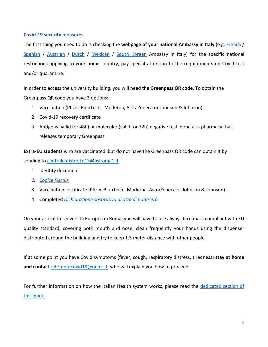## <span id="page-5-0"></span>**Covid-19 security measures**

The first thing you need to do is checking the **webpage of your national Ambassy in Italy** (e.g. [French](https://it.ambafrance.org/Coronavirus-Covid-19-situation-en-Italie-10236) / [Spanish](http://www.exteriores.gob.es/Embajadas/ROMA/es/Embajada/Paginas/Recomendaciones.aspx?IdP=96) / [Austrian](https://www.bmeia.gv.at/oeb-rom/#:~:text=in%20Mittel%2D%20und%20S%C3%BCditalien%3A,)bmeia.gv.at.) / [Dutch](https://www.nederlandwereldwijd.nl/landen/italie/reizen/reisadvies#anker-coronavirus) / [Mexican](https://embamex.sre.gob.mx/italia/index.php/es/index.php?option=com_content&view=article&id=299) / [South Korean](https://ambseoul.esteri.it/ambasciata_seoul/ko/ambasciata/news/dall-ambasciata/2020/03/covid19-tutti-gli-approfondimenti.html) Ambassy in Italy) for the specific national restrictions applying to your home country, pay special attention to the requirements on Covid test and/or quarantine.

In order to access the university building, you will need the **Greenpass QR code**. To obtain the Greenpass QR code you have 3 options:

- 1. Vaccination (Pfizer-BionTech, Moderna, AstraZeneca or Johnson & Johnson)
- 2. Covid-19 recovery certificate
- 3. Antigens (valid for 48h) or molecular (valid for 72h) negative test done at a pharmacy that releases temporary Greenpass.

**Extra-EU students** who are vaccinated but do not have the Greenpass QR code can obtain it by sending to [centrale.distretto13@aslroma1.it](mailto:centrale.distretto13@aslroma1.it)

- 1. Identity document
- *2. [Codice Fiscale](#page-9-1)*
- 3. Vaccination certificate (Pfizer-BionTech, Moderna, AstraZeneca or Johnson & Johnson)
- 4. Completed *[Dichiarazione sostitutiva di atto di notorietà](https://www.universitaeuropeadiroma.it/wp-content/uploads/2021/12/DICHIARAZIONE-SOSTITUTIVA-DI-ATTO-DI-NOTORIETA-1.doc)*

On your arrival to Università Europea di Roma, you will have to use always face mask compliant with EU quality standard, covering both mouth and nose, clean frequently your hands using the dispenser distributed around the building and try to keep 1.5 meter distance with other people.

If at some point you have Covid symptoms (fever, cough, respiratory distress, tiredness) **stay at home and contact** [referentecovid19@unier.it,](mailto:referentecovid19@unier.it) who will explain you how to proceed.

For further information on how the Italian Health system works, please read the dedicated section of [this guide.](#page-10-0)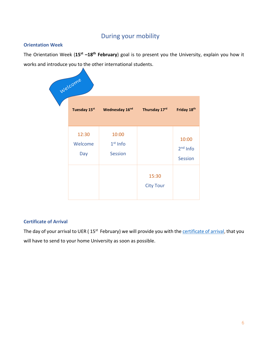# During your mobility

# <span id="page-6-1"></span><span id="page-6-0"></span>**Orientation Week**

The Orientation Week (**15st –18th February**) goal is to present you the University, explain you how it works and introduce you to the other international students.

| Welcome                 |                                       |                           |                                       |
|-------------------------|---------------------------------------|---------------------------|---------------------------------------|
| Tuesday 15st            | Wednesday 16 <sup>nd</sup>            | Thursday 17rd             | Friday 18th                           |
| 12:30<br>Welcome<br>Day | 10:00<br>$1st$ Info<br><b>Session</b> |                           | 10:00<br>$2nd$ Info<br><b>Session</b> |
|                         |                                       | 15:30<br><b>City Tour</b> |                                       |

# <span id="page-6-2"></span>**Certificate of Arrival**

The day of your arrival to UER (15<sup>st</sup> February) we will provide you with the **certificate of arrival**, that you will have to send to your home University as soon as possible.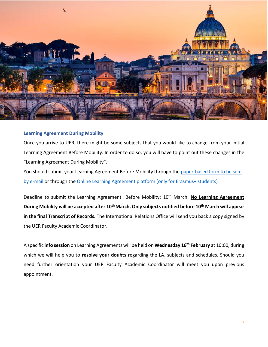

#### <span id="page-7-0"></span>**Learning Agreement During Mobility**

Once you arrive to UER, there might be some subjects that you would like to change from your initial Learning Agreement Before Mobility. In order to do so, you will have to point out these changes in the "Learning Agreement During Mobility".

You should submit your Learning Agreement Before Mobility through the [paper-based form to be sent](https://www.universitaeuropeadiroma.it/wp-content/uploads/2021/03/LA-During-mobility-UER-.docx)  [by e-mail](https://www.universitaeuropeadiroma.it/wp-content/uploads/2021/03/LA-During-mobility-UER-.docx) or through the [Online Learning Agreement platform \(only for Erasmus+ students\)](https://www.learning-agreement.eu/)

Deadline to submit the Learning Agreement Before Mobility: 10<sup>th</sup> March. No Learning Agreement **During Mobility will be accepted after 10thMarch. Only subjects notified before 10th March will appear in the final Transcript of Records.** The International Relations Office will send you back a copy signed by the UER Faculty Academic Coordinator.

A specific **info session** on Learning Agreements will be held on **Wednesday 16th February** at 10:00, during which we will help you to **resolve your doubts** regarding the LA, subjects and schedules. Should you need further orientation your UER Faculty Academic Coordinator will meet you upon previous appointment.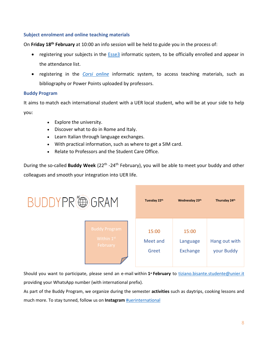# <span id="page-8-0"></span>**Subject enrolment and online teaching materials**

On **Friday 18th February** at 10:00 an info session will be held to guide you in the process of:

- registering your subjects in the **Esse3** informatic system, to be officially enrolled and appear in the attendance list.
- registering in the *[Corsi online](https://corsi.universitaeuropeadiroma.it/login/index.php)* informatic system, to access teaching materials, such as bibliography or Power Points uploaded by professors.

# <span id="page-8-1"></span>**Buddy Program**

It aims to match each international student with a UER local student, who will be at your side to help you:

- Explore the university.
- Discover what to do in Rome and Italy.
- Learn Italian through language exchanges.
- With practical information, such as where to get a SIM card.
- Relate to Professors and the Student Care Office.

During the so-called **Buddy Week** (22<sup>th</sup> -24<sup>th</sup> February), you will be able to meet your buddy and other colleagues and smooth your integration into UER life.

| BUDDYPR®GRAM |                                                | Tuesday 22th               | Wednesday 23th                       | Thursday 24th               |
|--------------|------------------------------------------------|----------------------------|--------------------------------------|-----------------------------|
|              | <b>Buddy Program</b><br>Within 1st<br>February | 15:00<br>Meet and<br>Greet | 15:00<br>Language<br><b>Exchange</b> | Hang out with<br>your Buddy |

Should you want to participate, please send an e-mail within **1st February** to [tiziano.bisante.studente@unier.it](mailto:tiziano.bisante.studente@unier.it) providing your WhatsApp number (with international prefix).

As part of the Buddy Program, we organize during the semester **activities** such as daytrips, cooking lessons and much more. To stay tunned, follow us on **Instagram** [#uerinternational](https://www.instagram.com/uerinternational/)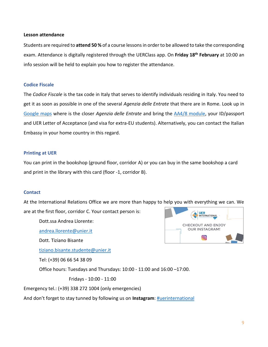#### <span id="page-9-0"></span>**Lesson attendance**

Students are required to **attend 50 %** of a course lessons in order to be allowed to take the corresponding exam. Attendance is digitally registered through the UERClass app. On **Friday 18th February** at 10:00 an info session will be held to explain you how to register the attendance.

## <span id="page-9-1"></span>**Codice Fiscale**

The *Codice Fiscale* is the tax code in Italy that serves to identify individuals residing in Italy. You need to get it as soon as possible in one of the several *Agenzia delle Entrate* that there are in Rome. Look up in [Google maps](https://www.google.com/maps/search/agenzie+delle+entrate/@41.8711033,12.4419535,13z) where is the closer *Agenzia delle Entrate* and bring the [AA4/8 module,](https://www.agenziaentrate.gov.it/portale/documents/20143/278893/modello+cf+AA48_modello+AA4+8.pdf/a8287f7f-abcf-c4f9-b4f7-f038486bc7d6) your ID/passport and UER Letter of Acceptance (and visa for extra-EU students). Alternatively, you can contact the Italian Embassy in your home country in this regard.

# <span id="page-9-2"></span>**Printing at UER**

You can print in the bookshop (ground floor, corridor A) or you can buy in the same bookshop a card and print in the library with this card (floor -1, corridor B).

# <span id="page-9-3"></span>**Contact**

At the International Relations Office we are more than happy to help you with everything we can. We are at the first floor, corridor C. Your contact person is:

Dott.ssa Andrea Llorente:

[andrea.llorente@unier.it](mailto:andrea.llorente@unier.it)

Dott. Tiziano Bisante

[tiziano.bisante.studente@unier.it](mailto:tiziano.bisante.studente@unier.it)

Tel: (+39) 06 66 54 38 09

Office hours: Tuesdays and Thursdays: 10:00 - 11:00 and 16:00 –17:00.

Fridays - 10:00 - 11:00

Emergency tel.: (+39) 338 272 1004 (only emergencies)

And don't forget to stay tunned by following us on **Instagram**: [#uerinternational](https://www.instagram.com/uerinternational/)

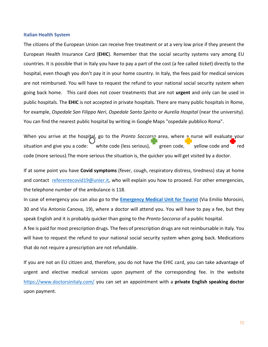#### <span id="page-10-0"></span>**Italian Health System**

The citizens of the European Union can receive free treatment or at a very low price if they present the European Health Insurance Card (**EHIC**). Remember that the social security systems vary among EU countries. It is possible that in Italy you have to pay a part of the cost (a fee called *ticket*) directly to the hospital, even though you don't pay it in your home country. In Italy, the fees paid for medical services are not reimbursed. You will have to request the refund to your national social security system when going back home. This card does not cover treatments that are not **urgent** and only can be used in public hospitals. The **EHIC** is not accepted in private hospitals. There are many public hospitals in Rome, for example, *Ospedale San Filippo Neri*, *Ospedale Santo Spirito* or *Aurelia Hospital* (near the university). You can find the nearest public hospital by writing in Google Maps "ospedale pubblico Roma".

When you arrive at the hospital, go to the *Pronto Soccorso* area, where a nurse will evaluate your situation and give you a code:  $\overline{\phantom{a}}$  white code (less serious),  $\overline{\phantom{a}}$  green code,  $\overline{\phantom{a}}$  yellow code and  $\overline{\phantom{a}}$  red code (more serious).The more serious the situation is, the quicker you will get visited by a doctor.

If at some point you have **Covid symptoms** (fever, cough, respiratory distress, tiredness) stay at home and contact [referentecovid19@unier.it,](mailto:referentecovid19@unier.it) who will explain you how to proceed. For other emergencies, the telephone number of the ambulance is 118.

In case of emergency you can also go to the **[Emergency Medical Unit](http://mobile.060608.it/en/accoglienza/servizi/emergenze-e-numeri-utili/guardia-medica-turistica.html) for Tourist** (Via Emilio Morosini, 30 and Via Antonio Canova, 19), where a doctor will attend you. You will have to pay a fee, but they speak English and it is probably quicker than going to the *Pronto Soccorso* of a public hospital.

A fee is paid for most prescription drugs. The fees of prescription drugs are not reimbursable in Italy. You will have to request the refund to your national social security system when going back. Medications that do not require a prescription are not refundable.

If you are not an EU citizen and, therefore, you do not have the EHIC card, you can take advantage of urgent and elective medical services upon payment of the corresponding fee. In the website <https://www.doctorsinitaly.com/> you can set an appointment with a **private English speaking doctor** upon payment.